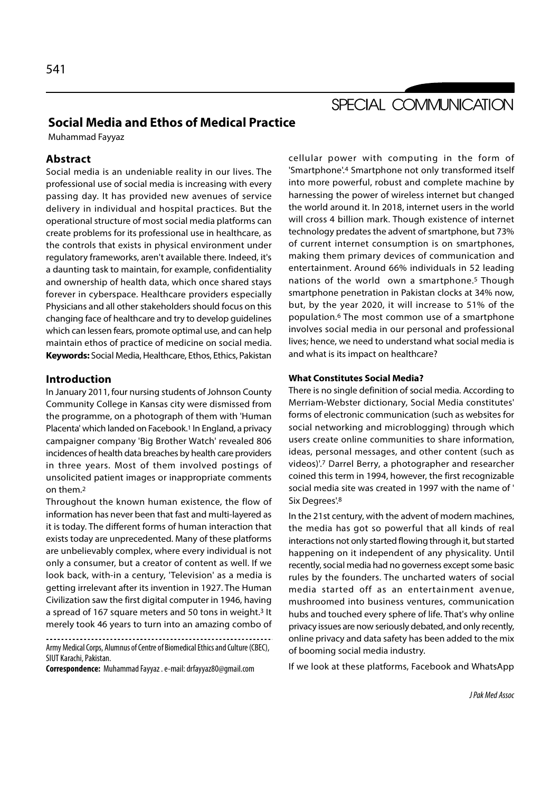# SPECIAL COMMUNICATION

## Social Media and Ethos of Medical Practice

Muhammad Fayyaz

## Abstract

Social media is an undeniable reality in our lives. The professional use of social media is increasing with every passing day. It has provided new avenues of service delivery in individual and hospital practices. But the operational structure of most social media platforms can create problems for its professional use in healthcare, as the controls that exists in physical environment under regulatory frameworks, aren't available there. Indeed, it's a daunting task to maintain, for example, confidentiality and ownership of health data, which once shared stays forever in cyberspace. Healthcare providers especially Physicians and all other stakeholders should focus on this changing face of healthcare and try to develop guidelines which can lessen fears, promote optimal use, and can help maintain ethos of practice of medicine on social media. Keywords: Social Media, Healthcare, Ethos, Ethics, Pakistan

#### Introduction

In January 2011, four nursing students of Johnson County Community College in Kansas city were dismissed from the programme, on a photograph of them with 'Human Placenta' which landed on Facebook.<sup>1</sup> In England, a privacy campaigner company 'Big Brother Watch' revealed 806 incidences of health data breaches by health care providers in three years. Most of them involved postings of unsolicited patient images or inappropriate comments on them.2

Throughout the known human existence, the flow of information has never been that fast and multi-layered as it is today. The different forms of human interaction that exists today are unprecedented. Many of these platforms are unbelievably complex, where every individual is not only a consumer, but a creator of content as well. If we look back, with-in a century, 'Television' as a media is getting irrelevant after its invention in 1927. The Human Civilization saw the first digital computer in 1946, having a spread of 167 square meters and 50 tons in weight.3 It merely took 46 years to turn into an amazing combo of

Army Medical Corps, Alumnus of Centre of Biomedical Ethics and Culture (CBEC), SIUT Karachi, Pakistan.

Correspondence: Muhammad Fayyaz . e-mail: drfayyaz80@gmail.com

cellular power with computing in the form of 'Smartphone'.4 Smartphone not only transformed itself into more powerful, robust and complete machine by harnessing the power of wireless internet but changed the world around it. In 2018, internet users in the world will cross 4 billion mark. Though existence of internet technology predates the advent of smartphone, but 73% of current internet consumption is on smartphones, making them primary devices of communication and entertainment. Around 66% individuals in 52 leading nations of the world own a smartphone.5 Though smartphone penetration in Pakistan clocks at 34% now, but, by the year 2020, it will increase to 51% of the population.6 The most common use of a smartphone involves social media in our personal and professional lives; hence, we need to understand what social media is and what is its impact on healthcare?

#### What Constitutes Social Media?

There is no single definition of social media. According to Merriam-Webster dictionary, Social Media constitutes' forms of electronic communication (such as websites for social networking and microblogging) through which users create online communities to share information, ideas, personal messages, and other content (such as videos)'.7 Darrel Berry, a photographer and researcher coined this term in 1994, however, the first recognizable social media site was created in 1997 with the name of ' Six Degrees'.<sup>8</sup>

In the 21st century, with the advent of modern machines, the media has got so powerful that all kinds of real interactions not only started flowing through it, but started happening on it independent of any physicality. Until recently, social media had no governess except some basic rules by the founders. The uncharted waters of social media started off as an entertainment avenue, mushroomed into business ventures, communication hubs and touched every sphere of life. That's why online privacy issues are now seriously debated, and only recently, online privacy and data safety has been added to the mix of booming social media industry.

If we look at these platforms, Facebook and WhatsApp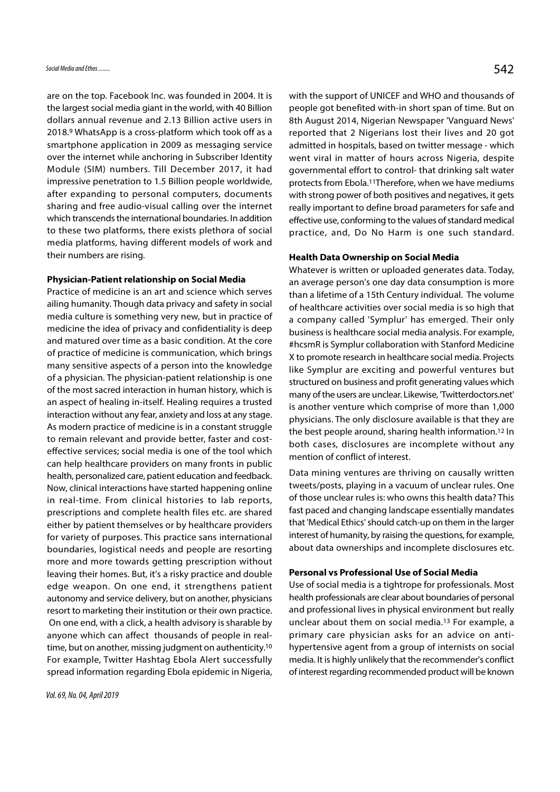are on the top. Facebook Inc. was founded in 2004. It is the largest social media giant in the world, with 40 Billion dollars annual revenue and 2.13 Billion active users in 2018.9 WhatsApp is a cross-platform which took off as a smartphone application in 2009 as messaging service over the internet while anchoring in Subscriber Identity Module (SIM) numbers. Till December 2017, it had impressive penetration to 1.5 Billion people worldwide, after expanding to personal computers, documents sharing and free audio-visual calling over the internet which transcends the international boundaries. In addition to these two platforms, there exists plethora of social media platforms, having different models of work and their numbers are rising.

#### Physician-Patient relationship on Social Media

Practice of medicine is an art and science which serves ailing humanity. Though data privacy and safety in social media culture is something very new, but in practice of medicine the idea of privacy and confidentiality is deep and matured over time as a basic condition. At the core of practice of medicine is communication, which brings many sensitive aspects of a person into the knowledge of a physician. The physician-patient relationship is one of the most sacred interaction in human history, which is an aspect of healing in-itself. Healing requires a trusted interaction without any fear, anxiety and loss at any stage. As modern practice of medicine is in a constant struggle to remain relevant and provide better, faster and costeffective services; social media is one of the tool which can help healthcare providers on many fronts in public health, personalized care, patient education and feedback. Now, clinical interactions have started happening online in real-time. From clinical histories to lab reports, prescriptions and complete health files etc. are shared either by patient themselves or by healthcare providers for variety of purposes. This practice sans international boundaries, logistical needs and people are resorting more and more towards getting prescription without leaving their homes. But, it's a risky practice and double edge weapon. On one end, it strengthens patient autonomy and service delivery, but on another, physicians resort to marketing their institution or their own practice. On one end, with a click, a health advisory is sharable by anyone which can affect thousands of people in realtime, but on another, missing judgment on authenticity.10 For example, Twitter Hashtag Ebola Alert successfully spread information regarding Ebola epidemic in Nigeria,

with the support of UNICEF and WHO and thousands of people got benefited with-in short span of time. But on 8th August 2014, Nigerian Newspaper 'Vanguard News' reported that 2 Nigerians lost their lives and 20 got admitted in hospitals, based on twitter message - which went viral in matter of hours across Nigeria, despite governmental effort to control- that drinking salt water protects from Ebola.11Therefore, when we have mediums with strong power of both positives and negatives, it gets really important to define broad parameters for safe and effective use, conforming to the values of standard medical practice, and, Do No Harm is one such standard.

#### Health Data Ownership on Social Media

Whatever is written or uploaded generates data. Today, an average person's one day data consumption is more than a lifetime of a 15th Century individual. The volume of healthcare activities over social media is so high that a company called 'Symplur' has emerged. Their only business is healthcare social media analysis. For example, #hcsmR is Symplur collaboration with Stanford Medicine X to promote research in healthcare social media. Projects like Symplur are exciting and powerful ventures but structured on business and profit generating values which many of the users are unclear. Likewise, 'Twitterdoctors.net' is another venture which comprise of more than 1,000 physicians. The only disclosure available is that they are the best people around, sharing health information.12 In both cases, disclosures are incomplete without any mention of conflict of interest.

Data mining ventures are thriving on causally written tweets/posts, playing in a vacuum of unclear rules. One of those unclear rules is: who owns this health data? This fast paced and changing landscape essentially mandates that 'Medical Ethics' should catch-up on them in the larger interest of humanity, by raising the questions, for example, about data ownerships and incomplete disclosures etc.

#### Personal vs Professional Use of Social Media

Use of social media is a tightrope for professionals. Most health professionals are clear about boundaries of personal and professional lives in physical environment but really unclear about them on social media.13 For example, a primary care physician asks for an advice on antihypertensive agent from a group of internists on social media. It is highly unlikely that the recommender's conflict of interest regarding recommended product will be known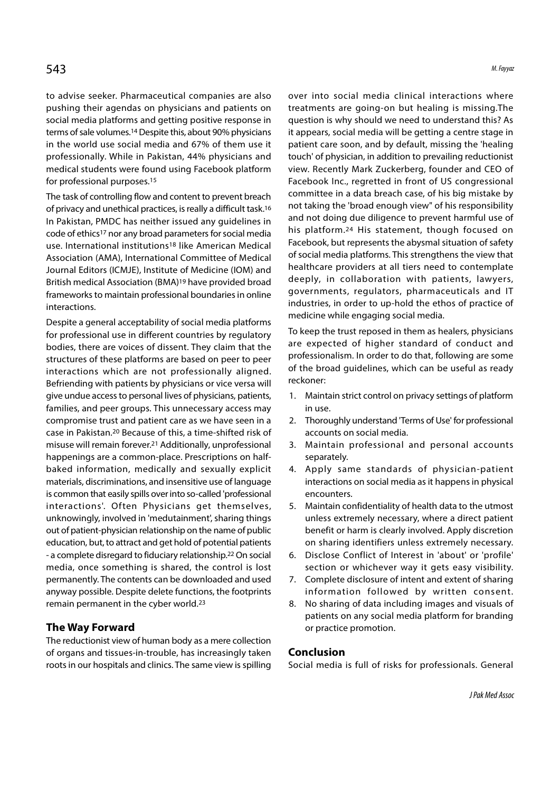to advise seeker. Pharmaceutical companies are also pushing their agendas on physicians and patients on social media platforms and getting positive response in terms of sale volumes.14 Despite this, about 90% physicians in the world use social media and 67% of them use it professionally. While in Pakistan, 44% physicians and medical students were found using Facebook platform for professional purposes.15

The task of controlling flow and content to prevent breach of privacy and unethical practices, is really a difficult task.16 In Pakistan, PMDC has neither issued any guidelines in code of ethics17 nor any broad parameters for social media use. International institutions18 like American Medical Association (AMA), International Committee of Medical Journal Editors (ICMJE), Institute of Medicine (IOM) and British medical Association (BMA)19 have provided broad frameworks to maintain professional boundaries in online interactions.

Despite a general acceptability of social media platforms for professional use in different countries by regulatory bodies, there are voices of dissent. They claim that the structures of these platforms are based on peer to peer interactions which are not professionally aligned. Befriending with patients by physicians or vice versa will give undue access to personal lives of physicians, patients, 1. Maintain strict control on privacy settings of platform families, and peer groups. This unnecessary access may compromise trust and patient care as we have seen in a 2. Thoroughly understand 'Terms of Use' for professional case in Pakistan.20 Because of this, a time-shifted risk of misuse will remain forever.<sup>21</sup> Additionally, unprofessional 3. Maintain professional and personal accounts happenings are a common-place. Prescriptions on halfbaked information, medically and sexually explicit 4. Apply same standards of physician-patient materials, discriminations, and insensitive use of language is common that easily spills over into so-called 'professional interactions'. Often Physicians get themselves, unknowingly, involved in 'medutainment', sharing things out of patient-physician relationship on the name of public education, but, to attract and get hold of potential patients - a complete disregard to fiduciary relationship.<sup>22</sup> On social 6. Disclose Conflict of Interest in 'about' or 'profile' media, once something is shared, the control is lost permanently. The contents can be downloaded and used anyway possible. Despite delete functions, the footprints remain permanent in the cyber world.23

#### The Way Forward

The reductionist view of human body as a mere collection of organs and tissues-in-trouble, has increasingly taken roots in our hospitals and clinics. The same view is spilling over into social media clinical interactions where treatments are going-on but healing is missing.The question is why should we need to understand this? As it appears, social media will be getting a centre stage in patient care soon, and by default, missing the 'healing touch' of physician, in addition to prevailing reductionist view. Recently Mark Zuckerberg, founder and CEO of Facebook Inc., regretted in front of US congressional committee in a data breach case, of his big mistake by not taking the 'broad enough view" of his responsibility and not doing due diligence to prevent harmful use of his platform.24 His statement, though focused on Facebook, but represents the abysmal situation of safety of social media platforms. This strengthens the view that healthcare providers at all tiers need to contemplate deeply, in collaboration with patients, lawyers, governments, regulators, pharmaceuticals and IT industries, in order to up-hold the ethos of practice of medicine while engaging social media.

To keep the trust reposed in them as healers, physicians are expected of higher standard of conduct and professionalism. In order to do that, following are some of the broad guidelines, which can be useful as ready reckoner: governments, regulators, pharmaceuticals and IT<br>industries, in order to up-hold the ethos of practice of<br>medicine while engaging social media.<br>To keep the trust reposed in them as healers, physicians<br>are expected of higher medicine while engaging social media.<br>
To keep the trust reposed in them as healers, physicians<br>
are expected of higher standard of conduct and<br>
professionalism. In order to do that, following are some<br>
of the broad guidel are expected of higher standard of conduct and<br>professionalism. In order to do that, following are some<br>of the broad guidelines, which can be useful as ready<br>reckoner:<br>1. Maintain strict control on privacy settings of plat

- in use.
- accounts on social media.
- separately.
- of the broad guidelines, which can be useful as ready<br>
reckoner:<br>
1. Maintain strict control on privacy settings of platform<br>
in use.<br>
2. Thoroughly understand 'Terms of Use' for professional<br>
accounts on social media.<br>
3. interactions on social media as it happens in physical encounters.
- F. Maintain strict control on privacy settings or plation<br>in use.<br>2. Thoroughly understand 'Terms of Use' for professional<br>accounts on social media.<br>3. Maintain professional and personal accounts<br>separately.<br>4. Apply same unless extremely necessary, where a direct patient benefit or harm is clearly involved. Apply discretion on sharing identifiers unless extremely necessary. S. Maintain professional and personal accounts<br>separately.<br>4. Apply same standards of physician-patient<br>interactions on social media as it happens in physical<br>encounters.<br>5. Maintain confidentiality of health data to the u 4. Apply same standards of physician-pattent<br>interactions on social media as it happens in physical<br>encounters.<br>5. Maintain confidentiality of health data to the utmost<br>unless extremely necessary, where a direct patient<br>be
- section or whichever way it gets easy visibility.
- information followed by written consent.
- 8. No sharing of data including images and visuals of patients on any social media platform for branding or practice promotion.

#### Conclusion

Social media is full of risks for professionals. General